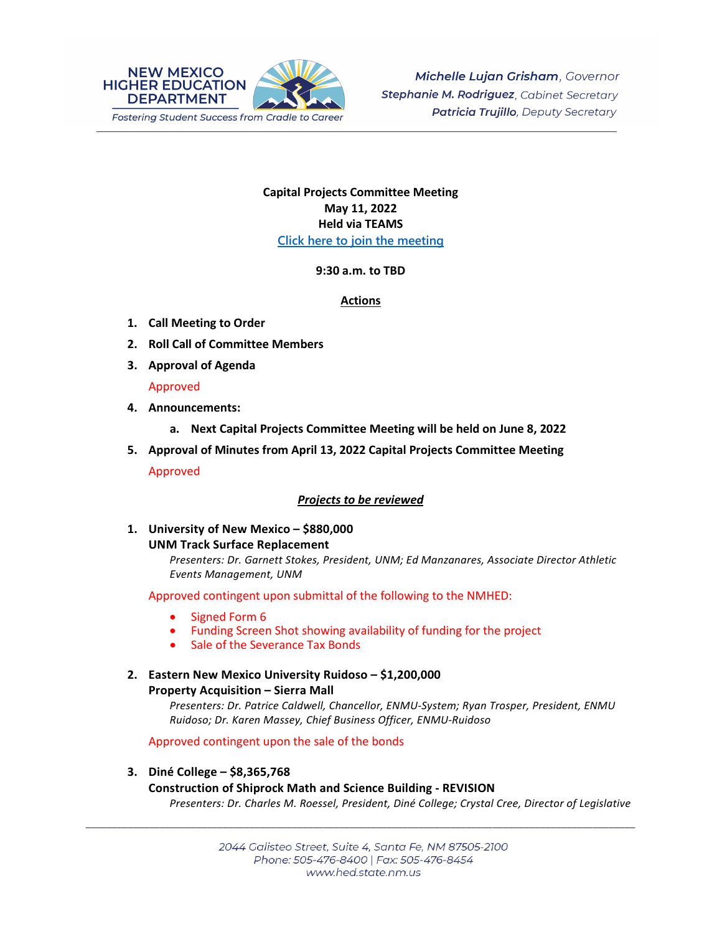

# **Capital Projects Committee Meeting May 11, 2022 Held via TEAMS [Click here to join the meeting](https://teams.microsoft.com/l/meetup-join/19%3ameeting_N2Y3ZjAzNTctYjk4ZC00ZDAxLTkxZWMtMjFjMGJjOTM1MTU2%40thread.v2/0?context=%7b%22Tid%22%3a%2204aa6bf4-d436-426f-bfa4-04b7a70e60ff%22%2c%22Oid%22%3a%222844ecea-db84-4cd8-97b7-9d410f1aa07b%22%7d)**

## **9:30 a.m. to TBD**

#### **Actions**

- **1. Call Meeting to Order**
- **2. Roll Call of Committee Members**
- **3. Approval of Agenda**

## Approved

- **4. Announcements:**
	- **a. Next Capital Projects Committee Meeting will be held on June 8, 2022**
- **5. Approval of Minutes from April 13, 2022 Capital Projects Committee Meeting** Approved

## *Projects to be reviewed*

**1. University of New Mexico – \$880,000**

## **UNM Track Surface Replacement**

*Presenters: Dr. Garnett Stokes, President, UNM; Ed Manzanares, Associate Director Athletic Events Management, UNM* 

Approved contingent upon submittal of the following to the NMHED:

- Signed Form 6
- Funding Screen Shot showing availability of funding for the project
- Sale of the Severance Tax Bonds
- **2. Eastern New Mexico University Ruidoso – \$1,200,000 Property Acquisition – Sierra Mall**

*Presenters: Dr. Patrice Caldwell, Chancellor, ENMU-System; Ryan Trosper, President, ENMU Ruidoso; Dr. Karen Massey, Chief Business Officer, ENMU-Ruidoso*

Approved contingent upon the sale of the bonds

**3. Diné College – \$8,365,768 Construction of Shiprock Math and Science Building - REVISION** *Presenters: Dr. Charles M. Roessel, President, Diné College; Crystal Cree, Director of Legislative* 

\_\_\_\_\_\_\_\_\_\_\_\_\_\_\_\_\_\_\_\_\_\_\_\_\_\_\_\_\_\_\_\_\_\_\_\_\_\_\_\_\_\_\_\_\_\_\_\_\_\_\_\_\_\_\_\_\_\_\_\_\_\_\_\_\_\_\_\_\_\_\_\_\_\_\_\_\_\_\_\_\_\_\_\_\_\_\_\_\_\_\_\_\_\_\_\_\_\_\_\_\_\_\_\_